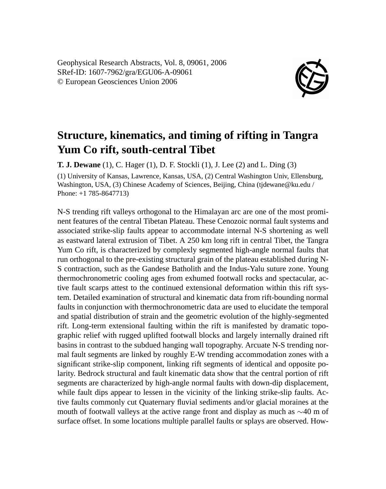Geophysical Research Abstracts, Vol. 8, 09061, 2006 SRef-ID: 1607-7962/gra/EGU06-A-09061 © European Geosciences Union 2006



## **Structure, kinematics, and timing of rifting in Tangra Yum Co rift, south-central Tibet**

**T. J. Dewane** (1), C. Hager (1), D. F. Stockli (1), J. Lee (2) and L. Ding (3)

(1) University of Kansas, Lawrence, Kansas, USA, (2) Central Washington Univ, Ellensburg, Washington, USA, (3) Chinese Academy of Sciences, Beijing, China (tjdewane@ku.edu / Phone: +1 785-8647713)

N-S trending rift valleys orthogonal to the Himalayan arc are one of the most prominent features of the central Tibetan Plateau. These Cenozoic normal fault systems and associated strike-slip faults appear to accommodate internal N-S shortening as well as eastward lateral extrusion of Tibet. A 250 km long rift in central Tibet, the Tangra Yum Co rift, is characterized by complexly segmented high-angle normal faults that run orthogonal to the pre-existing structural grain of the plateau established during N-S contraction, such as the Gandese Batholith and the Indus-Yalu suture zone. Young thermochronometric cooling ages from exhumed footwall rocks and spectacular, active fault scarps attest to the continued extensional deformation within this rift system. Detailed examination of structural and kinematic data from rift-bounding normal faults in conjunction with thermochronometric data are used to elucidate the temporal and spatial distribution of strain and the geometric evolution of the highly-segmented rift. Long-term extensional faulting within the rift is manifested by dramatic topographic relief with rugged uplifted footwall blocks and largely internally drained rift basins in contrast to the subdued hanging wall topography. Arcuate N-S trending normal fault segments are linked by roughly E-W trending accommodation zones with a significant strike-slip component, linking rift segments of identical and opposite polarity. Bedrock structural and fault kinematic data show that the central portion of rift segments are characterized by high-angle normal faults with down-dip displacement, while fault dips appear to lessen in the vicinity of the linking strike-slip faults. Active faults commonly cut Quaternary fluvial sediments and/or glacial moraines at the mouth of footwall valleys at the active range front and display as much as ∼40 m of surface offset. In some locations multiple parallel faults or splays are observed. How